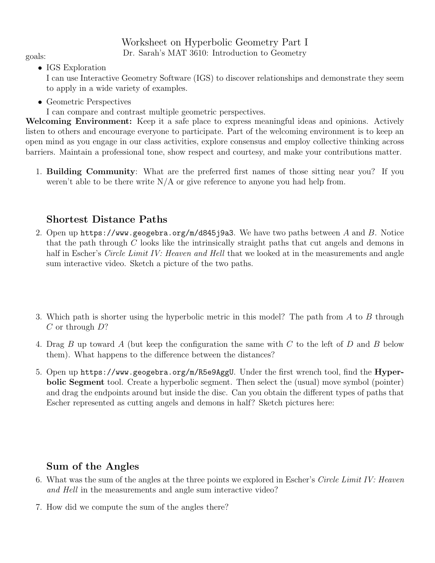## Worksheet on Hyperbolic Geometry Part I Dr. Sarah's MAT 3610: Introduction to Geometry goals:

• IGS Exploration

I can use Interactive Geometry Software (IGS) to discover relationships and demonstrate they seem to apply in a wide variety of examples.

• Geometric Perspectives

I can compare and contrast multiple geometric perspectives.

Welcoming Environment: Keep it a safe place to express meaningful ideas and opinions. Actively listen to others and encourage everyone to participate. Part of the welcoming environment is to keep an open mind as you engage in our class activities, explore consensus and employ collective thinking across barriers. Maintain a professional tone, show respect and courtesy, and make your contributions matter.

1. Building Community: What are the preferred first names of those sitting near you? If you weren't able to be there write  $N/A$  or give reference to anyone you had help from.

## Shortest Distance Paths

- 2. Open up https://www.geogebra.org/m/d845j9a3. We have two paths between A and B. Notice that the path through  $C$  looks like the intrinsically straight paths that cut angels and demons in half in Escher's *Circle Limit IV: Heaven and Hell* that we looked at in the measurements and angle sum interactive video. Sketch a picture of the two paths.
- 3. Which path is shorter using the hyperbolic metric in this model? The path from A to B through  $C$  or through  $D$ ?
- 4. Drag B up toward A (but keep the configuration the same with C to the left of D and B below them). What happens to the difference between the distances?
- 5. Open up https://www.geogebra.org/m/R5e9AggU. Under the first wrench tool, find the Hyperbolic Segment tool. Create a hyperbolic segment. Then select the (usual) move symbol (pointer) and drag the endpoints around but inside the disc. Can you obtain the different types of paths that Escher represented as cutting angels and demons in half? Sketch pictures here:

## Sum of the Angles

- 6. What was the sum of the angles at the three points we explored in Escher's Circle Limit IV: Heaven and Hell in the measurements and angle sum interactive video?
- 7. How did we compute the sum of the angles there?